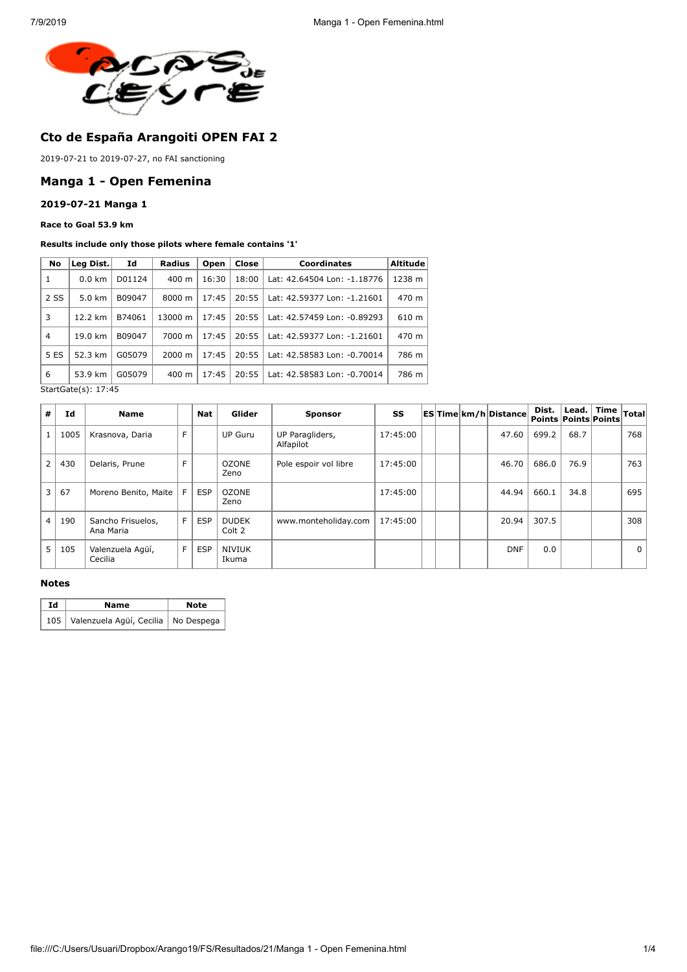

# **Cto de España Arangoiti OPEN FAI 2**

2019-07-21 to 2019-07-27, no FAI sanctioning

## **Manga 1 - Open Femenina**

### **2019-07-21 Manga 1**

### **Race to Goal 53.9 km**

#### **Results include only those pilots where female contains '1'**

| No             | Leg Dist.        | Id     | <b>Radius</b>   | Open  | Close | <b>Coordinates</b>          | <b>Altitude</b> |
|----------------|------------------|--------|-----------------|-------|-------|-----------------------------|-----------------|
| 1              | $0.0 \text{ km}$ | D01124 | 400 m           | 16:30 | 18:00 | Lat: 42.64504 Lon: -1.18776 | 1238 m          |
| 2 SS           | $5.0 \text{ km}$ | B09047 | 8000 m          | 17:45 | 20:55 | Lat: 42.59377 Lon: -1.21601 | 470 m           |
| 3              | 12.2 km          | B74061 | 13000 m         | 17:45 | 20:55 | Lat: 42.57459 Lon: -0.89293 | 610 m           |
| $\overline{4}$ | 19.0 km          | B09047 | 7000 m          | 17:45 | 20:55 | Lat: 42.59377 Lon: -1.21601 | 470 m           |
| 5 ES           | 52.3 km          | G05079 | 2000 m          | 17:45 | 20:55 | Lat: 42.58583 Lon: -0.70014 | 786 m           |
| 6              | 53.9 km          | G05079 | $400 \text{ m}$ | 17:45 | 20:55 | Lat: 42.58583 Lon: -0.70014 | 786 m           |

StartGate(s): 17:45

| #              | Id   | <b>Name</b>                    |    | Nat        | Glider                 | <b>Sponsor</b>               | SS       |  | <b>ESTime km/h Distance</b> | Dist.<br><b>Points Points Points</b> |      | Lead. Time | Total          |
|----------------|------|--------------------------------|----|------------|------------------------|------------------------------|----------|--|-----------------------------|--------------------------------------|------|------------|----------------|
|                | 1005 | Krasnova, Daria                | F. |            | <b>UP Guru</b>         | UP Paragliders,<br>Alfapilot | 17:45:00 |  | 47.60                       | 699.2                                | 68.7 |            | 768            |
|                | 430  | Delaris, Prune                 | F  |            | <b>OZONE</b><br>Zeno   | Pole espoir vol libre        | 17:45:00 |  | 46.70                       | 686.0                                | 76.9 |            | 763            |
| $\overline{3}$ | 67   | Moreno Benito, Maite           | F. | <b>ESP</b> | <b>OZONE</b><br>Zeno   |                              | 17:45:00 |  | 44.94                       | 660.1                                | 34.8 |            | 695            |
| $\overline{4}$ | 190  | Sancho Frisuelos,<br>Ana Maria | F. | <b>ESP</b> | <b>DUDEK</b><br>Colt 2 | www.monteholiday.com         | 17:45:00 |  | 20.94                       | 307.5                                |      |            | 308            |
| 5 <sup>1</sup> | 105  | Valenzuela Agüí,<br>Cecilia    | F  | <b>ESP</b> | <b>NIVIUK</b><br>Ikuma |                              |          |  | <b>DNF</b>                  | 0.0                                  |      |            | 0 <sup>1</sup> |

#### **Notes**

| Id | Name                                      | <b>Note</b> |
|----|-------------------------------------------|-------------|
|    | 105 Valenzuela Agüí, Cecilia   No Despega |             |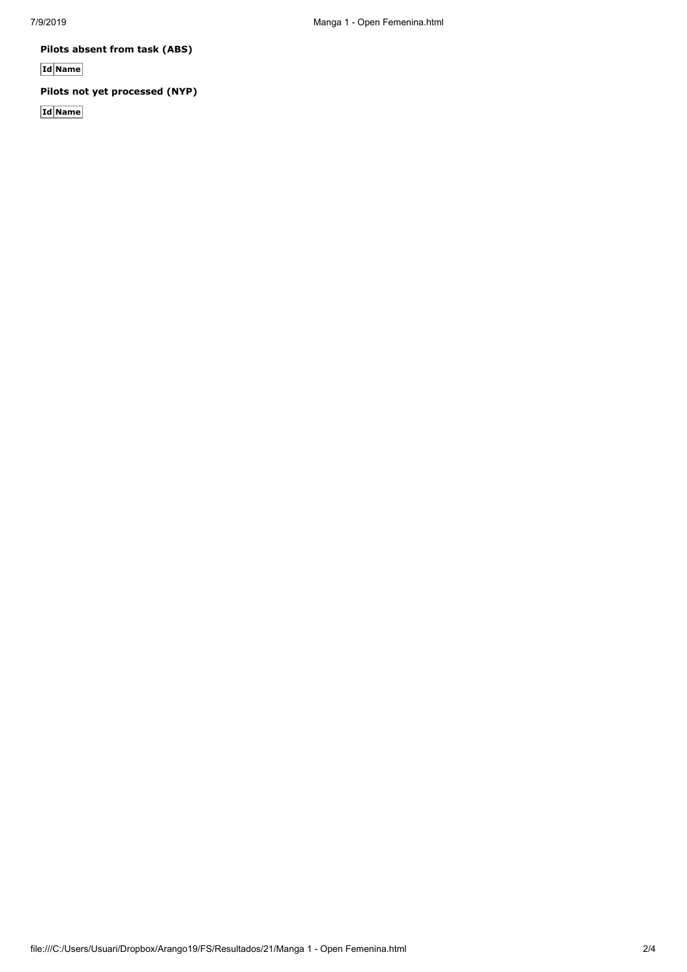**Pilots absent from task (ABS)**

**Id Name**

## **Pilots not yet processed (NYP)**

**Id Name**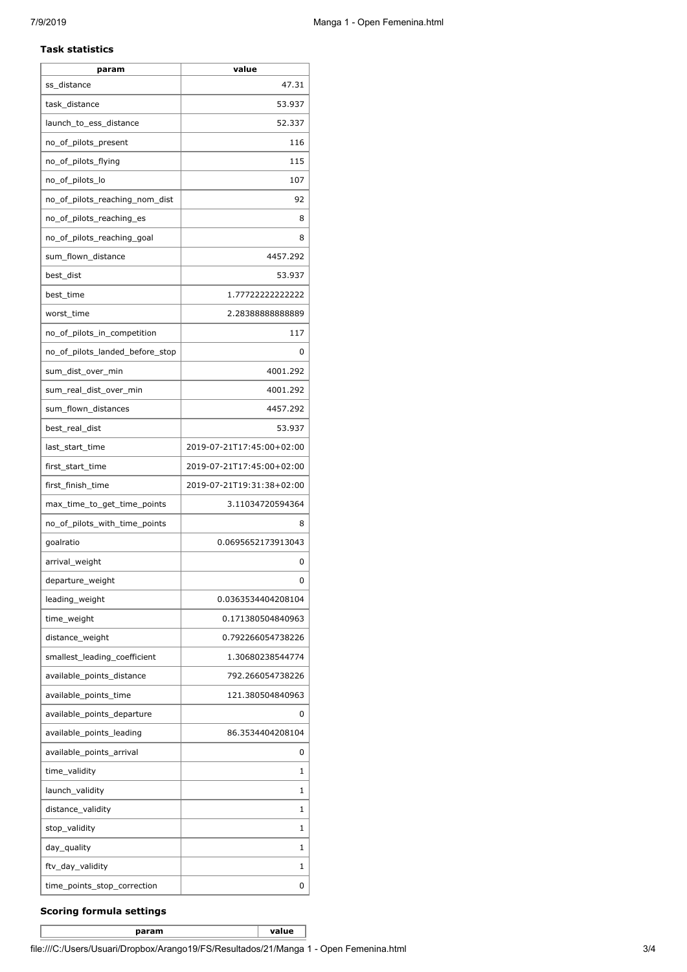#### **Task statistics**

| param                           | value                     |
|---------------------------------|---------------------------|
| ss distance                     | 47.31                     |
| task_distance                   | 53.937                    |
| launch_to_ess_distance          | 52.337                    |
| no_of_pilots_present            | 116                       |
| no_of_pilots_flying             | 115                       |
| no_of_pilots_lo                 | 107                       |
| no_of_pilots_reaching_nom_dist  | 92                        |
| no_of_pilots_reaching_es        | 8                         |
| no_of_pilots_reaching_goal      | 8                         |
| sum_flown_distance              | 4457.292                  |
| best_dist                       | 53.937                    |
| best_time                       | 1.77722222222222          |
| worst_time                      | 2.2838888888889           |
| no_of_pilots_in_competition     | 117                       |
| no of pilots landed before stop | 0                         |
| sum dist over min               | 4001.292                  |
| sum_real_dist_over_min          | 4001.292                  |
| sum_flown_distances             | 4457.292                  |
| best_real_dist                  | 53.937                    |
| last_start_time                 | 2019-07-21T17:45:00+02:00 |
| first_start_time                | 2019-07-21T17:45:00+02:00 |
| first_finish_time               | 2019-07-21T19:31:38+02:00 |
| max_time_to_get_time_points     | 3.11034720594364          |
| no_of_pilots_with_time_points   | 8                         |
| goalratio                       | 0.0695652173913043        |
| arrival_weight                  | 0                         |
| departure_weight                | 0                         |
| leading_weight                  | 0.0363534404208104        |
| time_weight                     | 0.171380504840963         |
| distance_weight                 | 0.792266054738226         |
| smallest leading coefficient    | 1.30680238544774          |
| available_points_distance       | 792.266054738226          |
| available_points_time           | 121.380504840963          |
| available_points_departure      | 0                         |
| available_points_leading        | 86.3534404208104          |
| available_points_arrival        | 0                         |
| time_validity                   | 1                         |
| launch_validity                 | 1                         |
| distance_validity               | 1                         |
| stop_validity                   | 1                         |
| day_quality                     | 1                         |
| ftv_day_validity                | 1                         |
| time_points_stop_correction     | 0                         |

## **Scoring formula settings**

**param value**